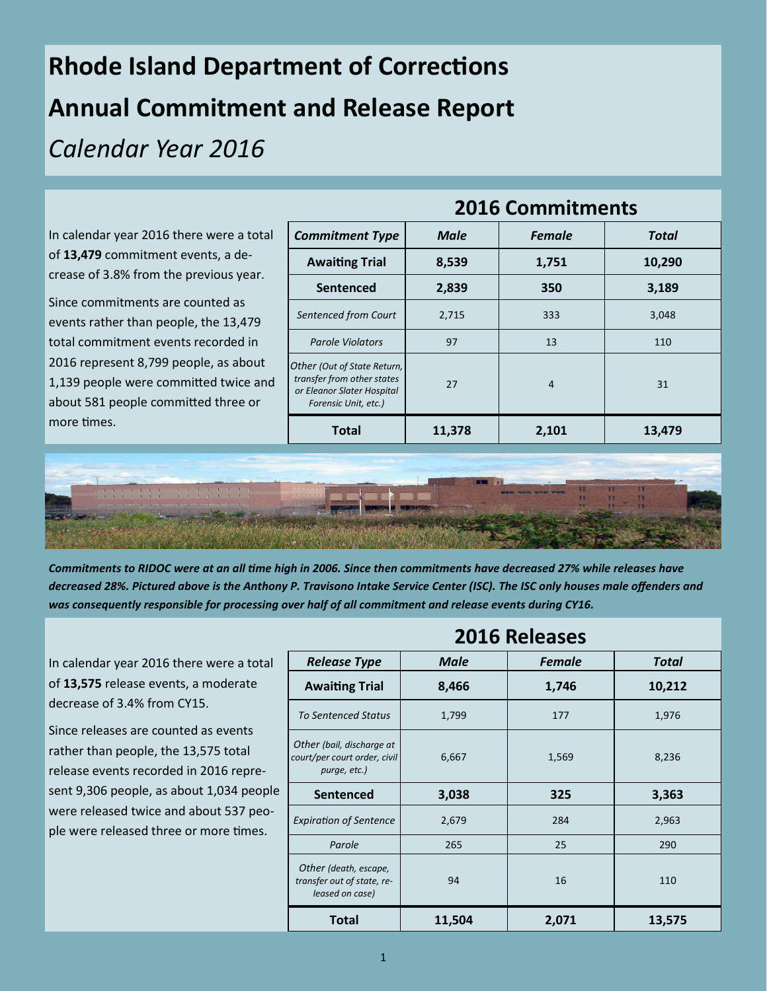## **Rhode Island Department of Corrections Annual Commitment and Release Report**  *Calendar Year 2016*

In calendar year 2016 there were a total of **13,479** commitment events, a decrease of 3.8% from the previous year.

Since commitments are counted as events rather than people, the 13,479 total commitment events recorded in 2016 represent 8,799 people, as about 1,139 people were committed twice and about 581 people committed three or more times.

| <b>Commitment Type</b>                                                                                          | <b>Male</b> | <b>Female</b> | Total  |
|-----------------------------------------------------------------------------------------------------------------|-------------|---------------|--------|
| <b>Awaiting Trial</b>                                                                                           | 8,539       | 1,751         | 10,290 |
| Sentenced                                                                                                       | 2,839       | 350           | 3,189  |
| Sentenced from Court                                                                                            | 2,715       | 333           | 3,048  |
| <b>Parole Violators</b>                                                                                         | 97          | 13            | 110    |
| Other (Out of State Return,<br>transfer from other states<br>or Eleanor Slater Hospital<br>Forensic Unit, etc.) | 27          | 4             | 31     |
| <b>Total</b>                                                                                                    | 11,378      | 2,101         | 13,479 |



*Commitments to RIDOC were at an all time high in 2006. Since then commitments have decreased 27% while releases have decreased 28%. Pictured above is the Anthony P. Travisono Intake Service Center (ISC). The ISC only houses male offenders and was consequently responsible for processing over half of all commitment and release events during CY16.* 

In calendar year 2016 there were a total of **13,575** release events, a moderate decrease of 3.4% from CY15.

Since releases are counted as events rather than people, the 13,575 total release events recorded in 2016 represent 9,306 people, as about 1,034 people were released twice and about 537 people were released three or more times.

| <b>2016 Releases</b>                                                      |             |               |              |  |
|---------------------------------------------------------------------------|-------------|---------------|--------------|--|
| <b>Release Type</b>                                                       | <b>Male</b> | <b>Female</b> | <b>Total</b> |  |
| <b>Awaiting Trial</b>                                                     | 8,466       | 1,746         | 10,212       |  |
| <b>To Sentenced Status</b>                                                | 1,799       | 177           | 1,976        |  |
| Other (bail, discharge at<br>court/per court order, civil<br>purge, etc.) | 6,667       | 1,569         | 8,236        |  |
| <b>Sentenced</b>                                                          | 3,038       | 325           | 3,363        |  |
| <b>Expiration of Sentence</b>                                             | 2,679       | 284           | 2,963        |  |
| Parole                                                                    | 265         | 25            | 290          |  |
| Other (death, escape,<br>transfer out of state, re-<br>leased on case)    | 94          | 16            | 110          |  |
| <b>Total</b>                                                              | 11,504      | 2,071         | 13,575       |  |

## **2016 Commitments**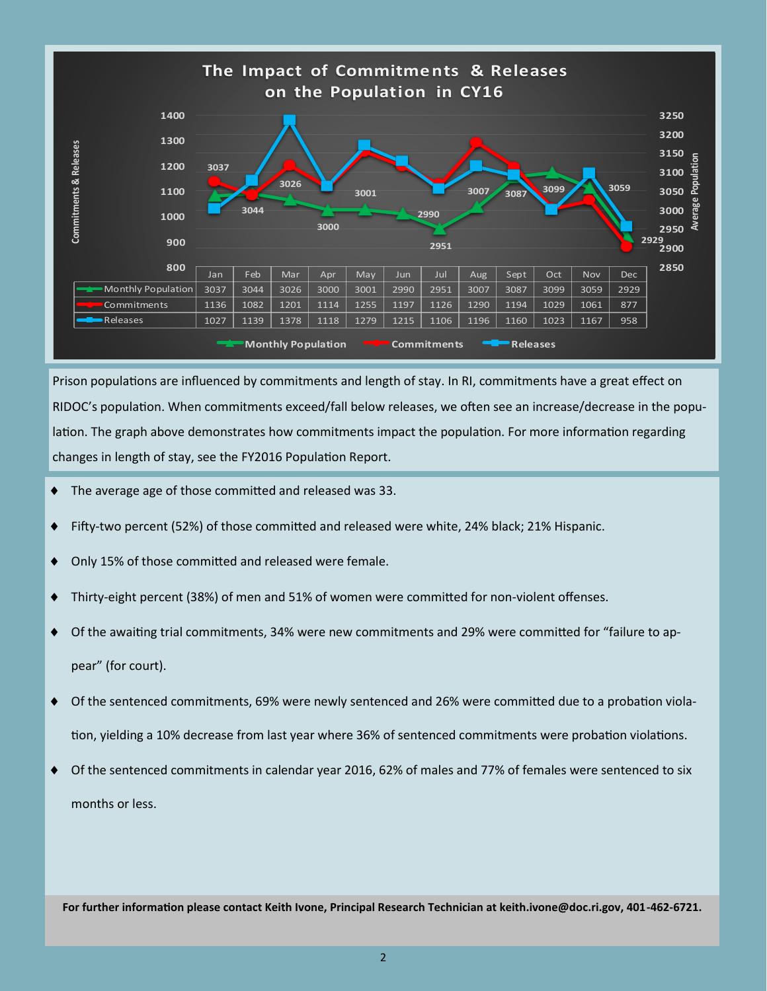

Prison populations are influenced by commitments and length of stay. In RI, commitments have a great effect on RIDOC's population. When commitments exceed/fall below releases, we often see an increase/decrease in the population. The graph above demonstrates how commitments impact the population. For more information regarding changes in length of stay, see the FY2016 Population Report.

- The average age of those committed and released was 33.
- Fifty-two percent (52%) of those committed and released were white, 24% black; 21% Hispanic.
- ◆ Only 15% of those committed and released were female.
- Thirty-eight percent (38%) of men and 51% of women were committed for non-violent offenses.
- Of the awaiting trial commitments, 34% were new commitments and 29% were committed for "failure to appear" (for court).
- Of the sentenced commitments, 69% were newly sentenced and 26% were committed due to a probation violation, yielding a 10% decrease from last year where 36% of sentenced commitments were probation violations.
- ◆ Of the sentenced commitments in calendar year 2016, 62% of males and 77% of females were sentenced to six months or less.

**For further information please contact Keith Ivone, Principal Research Technician at keith.ivone@doc.ri.gov, 401-462-6721.**